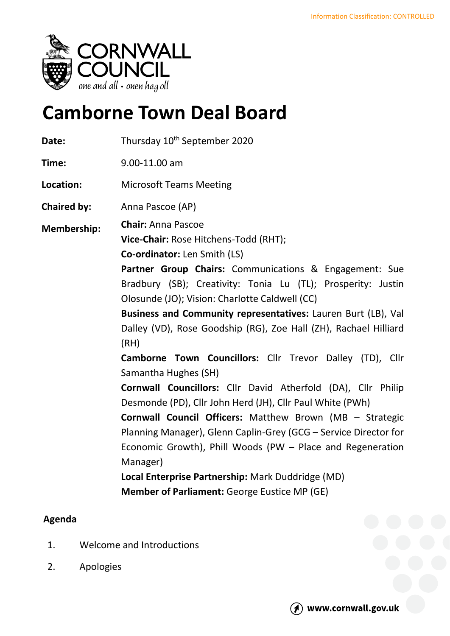

## **Camborne Town Deal Board**

| Date:              | Thursday 10 <sup>th</sup> September 2020                                                                                                                                                                                                                                                                                                                                                                                                                                                                        |
|--------------------|-----------------------------------------------------------------------------------------------------------------------------------------------------------------------------------------------------------------------------------------------------------------------------------------------------------------------------------------------------------------------------------------------------------------------------------------------------------------------------------------------------------------|
| Time:              | 9.00-11.00 am                                                                                                                                                                                                                                                                                                                                                                                                                                                                                                   |
| Location:          | <b>Microsoft Teams Meeting</b>                                                                                                                                                                                                                                                                                                                                                                                                                                                                                  |
| <b>Chaired by:</b> | Anna Pascoe (AP)                                                                                                                                                                                                                                                                                                                                                                                                                                                                                                |
| <b>Membership:</b> | <b>Chair: Anna Pascoe</b><br>Vice-Chair: Rose Hitchens-Todd (RHT);<br>Co-ordinator: Len Smith (LS)<br>Partner Group Chairs: Communications & Engagement: Sue<br>Bradbury (SB); Creativity: Tonia Lu (TL); Prosperity: Justin<br>Olosunde (JO); Vision: Charlotte Caldwell (CC)<br>Business and Community representatives: Lauren Burt (LB), Val<br>Dalley (VD), Rose Goodship (RG), Zoe Hall (ZH), Rachael Hilliard<br>(RH)<br>Camborne Town Councillors: Cllr Trevor Dalley (TD), Cllr<br>Samantha Hughes (SH) |
|                    | <b>Cornwall Councillors:</b> Cllr David Atherfold (DA), Cllr Philip<br>Desmonde (PD), Cllr John Herd (JH), Cllr Paul White (PWh)<br><b>Cornwall Council Officers:</b> Matthew Brown (MB - Strategic<br>Planning Manager), Glenn Caplin-Grey (GCG - Service Director for<br>Economic Growth), Phill Woods (PW - Place and Regeneration<br>Manager)<br>Local Enterprise Partnership: Mark Duddridge (MD)<br><b>Member of Parliament: George Eustice MP (GE)</b>                                                   |

## **Agenda**

- 1. Welcome and Introductions
- 2. Apologies